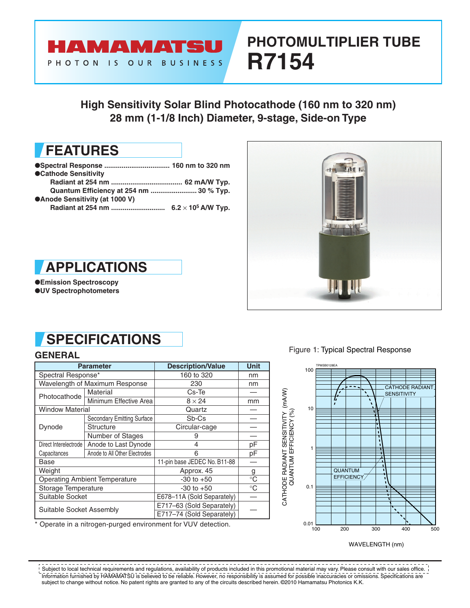

# **PHOTOMULTIPLIER TUBE R7154**

**High Sensitivity Solar Blind Photocathode (160 nm to 320 nm) 28 mm (1-1/8 Inch) Diameter, 9-stage, Side-on Type**



| ●Cathode Sensitivity                    |  |
|-----------------------------------------|--|
|                                         |  |
| Quantum Efficiency at 254 nm  30 % Typ. |  |
| ●Anode Sensitivity (at 1000 V)          |  |
|                                         |  |





●**Emission Spectroscopy** ●**UV Spectrophotometers**

## **SPECIFICATIONS**

|                                      | <b>Parameter</b>                  | <b>Description/Value</b>     | <b>Unit</b> |
|--------------------------------------|-----------------------------------|------------------------------|-------------|
| Spectral Response*                   |                                   | 160 to 320                   | nm          |
|                                      | Wavelength of Maximum Response    | 230                          | nm          |
| Photocathode                         | Material                          | Cs-Te                        |             |
|                                      | Minimum Effective Area            | $8 \times 24$                | mm          |
| <b>Window Material</b>               |                                   | Quartz                       |             |
|                                      | <b>Secondary Emitting Surface</b> | Sb-Cs                        |             |
| Dynode                               | <b>Structure</b>                  | Circular-cage                |             |
|                                      | Number of Stages                  | 9                            |             |
| Direct Interelectrode                | Anode to Last Dynode              | 4                            | рF          |
| Capacitances                         | Anode to All Other Electrodes     | 6                            | рF          |
| Base                                 |                                   | 11-pin base JEDEC No. B11-88 |             |
| Weight                               |                                   | Approx. 45                   | g           |
| <b>Operating Ambient Temperature</b> |                                   | $-30$ to $+50$               | $^{\circ}C$ |
| Storage Temperature                  |                                   | $-30$ to $+50$               | $^{\circ}C$ |
| Suitable Socket                      |                                   | E678-11A (Sold Separately)   |             |
| Suitable Socket Assembly             |                                   | E717-63 (Sold Separately)    |             |
|                                      |                                   | E717-74 (Sold Separately)    |             |

\* Operate in a nitrogen-purged environment for VUV detection.

**GENERAL** GENERAL **GENERAL GENERAL** 



WAVELENGTH (nm)

 $- - - \frac{1}{2} \left( \frac{1}{2} \right) \left( \frac{1}{2} \right) \left( \frac{1}{2} \right) \left( \frac{1}{2} \right) \left( \frac{1}{2} \right) \left( \frac{1}{2} \right) \left( \frac{1}{2} \right) \left( \frac{1}{2} \right) \left( \frac{1}{2} \right) \left( \frac{1}{2} \right) \left( \frac{1}{2} \right) \left( \frac{1}{2} \right) \left( \frac{1}{2} \right) \left( \frac{1}{2} \right) \left( \frac{1}{2} \right) \left( \frac{1}{2} \right) \left( \frac$ . <u>. . . . . . . . . . . .</u> Subject to local technical requirements and regulations, availability of products included in this promotional material may vary. Please consult with our sales office. Information furnished by HAMAMATSU is believed to be reliable. However, no responsibility is assumed for possible inaccuracies or omissions. Specifications are subject to change without notice. No patent rights are granted to any of the circuits described herein. ©2010 Hamamatsu Photonics K.K.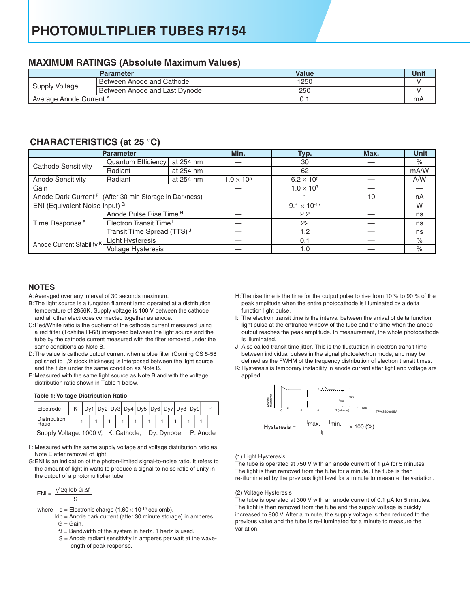## **PHOTOMULTIPLIER TUBES R7154**

### **MAXIMUM RATINGS (Absolute Maximum Values)**

|                         | <b>Parameter</b>              | Value | Unit |
|-------------------------|-------------------------------|-------|------|
| Supply Voltage          | Between Anode and Cathode     | 1250  |      |
|                         | Between Anode and Last Dynode | 250   |      |
| Average Anode Current A |                               |       | mA   |

## **CHARACTERISTlCS (at 25** °**C)**

|                                                                    | <b>Parameter</b>                   |           | Min.                  | Typ.                | Max. | <b>Unit</b> |
|--------------------------------------------------------------------|------------------------------------|-----------|-----------------------|---------------------|------|-------------|
|                                                                    | Quantum Efficiency<br>at 254 nm    |           |                       | 30                  |      | $\%$        |
| <b>Cathode Sensitivity</b>                                         | Radiant                            | at 254 nm |                       | 62                  |      | mA/W        |
| <b>Anode Sensitivity</b>                                           | Radiant<br>at 254 nm               |           | $1.0 \times 10^{5}$   | $6.2 \times 10^{5}$ |      | A/W         |
| Gain                                                               |                                    |           | $1.0 \times 10^{7}$   |                     |      |             |
| Anode Dark Current <sup>F</sup> (After 30 min Storage in Darkness) |                                    |           |                       | 10                  | nA   |             |
| ENI (Equivalent Noise Input) G                                     |                                    |           | $9.1 \times 10^{-17}$ |                     | W    |             |
|                                                                    | Anode Pulse Rise Time <sup>H</sup> |           |                       | 2.2                 |      | ns          |
| Time Response <sup>E</sup>                                         | Electron Transit Time <sup>1</sup> |           |                       | 22                  |      | ns          |
|                                                                    | Transit Time Spread (TTS) J        |           |                       | 1.2                 |      | ns          |
|                                                                    | Light Hysteresis                   |           |                       | 0.1                 |      | %           |
| Anode Current Stability K                                          | <b>Voltage Hysteresis</b>          |           |                       | 1.0                 |      | $\%$        |

### **NOTES**

- A: Averaged over any interval of 30 seconds maximum.
- B: The light source is a tungsten filament lamp operated at a distribution temperature of 2856K. Supply voltage is 100 V between the cathode and all other electrodes connected together as anode.
- C: Red/White ratio is the quotient of the cathode current measured using a red filter (Toshiba R-68) interposed between the light source and the tube by the cathode current measured with the filter removed under the same conditions as Note B.
- D: The value is cathode output current when a blue filter (Corning CS 5-58 polished to 1/2 stock thickness) is interposed between the light source and the tube under the same condition as Note B.
- E: Measured with the same light source as Note B and with the voltage distribution ratio shown in Table 1 below.

### **Table 1: Voltage Distribution Ratio**

| Electrode             |  |  |  |  | $Dy1$ Dy2 Dy3 Dy4 Dy5 Dy6 Dy7 Dy8 Dy9 |                               |  |  |  |  |  |  |  |                 |  |  |  |  |  |                                                |  |
|-----------------------|--|--|--|--|---------------------------------------|-------------------------------|--|--|--|--|--|--|--|-----------------|--|--|--|--|--|------------------------------------------------|--|
| Distribution<br>Ratio |  |  |  |  |                                       |                               |  |  |  |  |  |  |  |                 |  |  |  |  |  |                                                |  |
| 0.00011.11412.00011   |  |  |  |  |                                       | $1/2$ . $O = 11$ . $O = 11$ . |  |  |  |  |  |  |  | D.  D.  - - - - |  |  |  |  |  | $\mathsf{D}$ . A $\mathsf{A}$ and $\mathsf{A}$ |  |

SuppIy Voltage: 1000 V, K: Cathode, Dy: Dynode, P: Anode

F: Measured with the same supply voltage and voltage distribution ratio as Note E after removal of light.

G: ENI is an indication of the photon-limited signal-to-noise ratio. It refers to the amount of light in watts to produce a signal-to-noise ratio of unity in the output of a photomultiplier tube.

$$
ENI = \frac{\sqrt{2q \cdot \text{Idb} \cdot G \cdot \Delta f}}{S}
$$

- where  $q =$  Electronic charge (1.60  $\times$  10<sup>-19</sup> coulomb).
	- ldb = Anode dark current (after 30 minute storage) in amperes.  $G =$  Gain.
		- ∆f = Bandwidth of the system in hertz. 1 hertz is used.
		- S = Anode radiant sensitivity in amperes per watt at the wave length of peak response.
- H: The rise time is the time for the output pulse to rise from 10 % to 90 % of the peak amplitude when the entire photocathode is illuminated by a delta function light pulse.
- I: The electron transit time is the interval between the arrival of delta function light pulse at the entrance window of the tube and the time when the anode output reaches the peak amplitude. In measurement, the whole photocathode is illuminated.
- J: Also called transit time jitter. This is the fluctuation in electron transit time between individual pulses in the signal photoelectron mode, and may be
- K: Hysteresis is temporary instability in anode current after light and voltage are defined as the FWHM of the frequency distribution of electron transit times. applied.



#### (1) Light Hysteresis

The tube is operated at 750 V with an anode current of 1  $\mu$ A for 5 minutes. The light is then removed from the tube for a minute. The tube is then re-illuminated by the previous light level for a minute to measure the variation.

#### (2) Voltage Hysteresis

The tube is operated at 300 V with an anode current of 0.1  $\mu$ A for 5 minutes. The light is then removed from the tube and the supply voltage is quickly increased to 800 V. After a minute, the supply voltage is then reduced to the previous value and the tube is re-illuminated for a minute to measure the variation.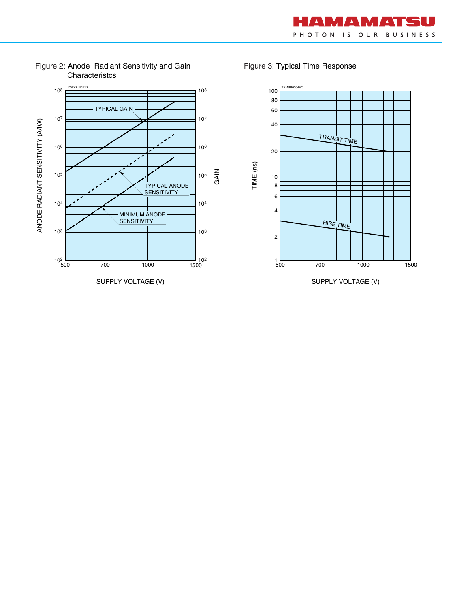



Figure 2: Anode Radiant Sensitivity and Gain **Characteristcs** 

Figure 3: Typical Time Response